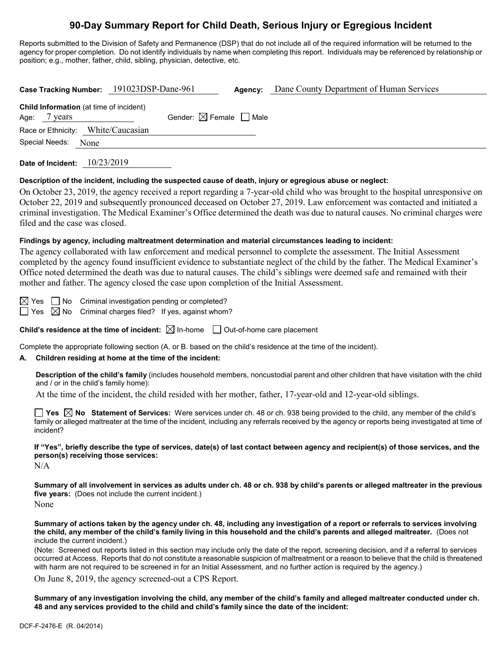# **90-Day Summary Report for Child Death, Serious Injury or Egregious Incident**

Reports submitted to the Division of Safety and Permanence (DSP) that do not include all of the required information will be returned to the agency for proper completion. Do not identify individuals by name when completing this report. Individuals may be referenced by relationship or position; e.g., mother, father, child, sibling, physician, detective, etc.

|                                                                   | Case Tracking Number: 191023DSP-Dane-961 | Agency: | Dane County Department of Human Services |
|-------------------------------------------------------------------|------------------------------------------|---------|------------------------------------------|
| <b>Child Information</b> (at time of incident)<br>Age:<br>7 years | Gender: $\boxtimes$ Female $\Box$ Male   |         |                                          |
| Race or Ethnicity: White/Caucasian<br>Special Needs:<br>None      |                                          |         |                                          |
|                                                                   |                                          |         |                                          |

**Date of Incident:** 10/23/2019

### **Description of the incident, including the suspected cause of death, injury or egregious abuse or neglect:**

On October 23, 2019, the agency received a report regarding a 7-year-old child who was brought to the hospital unresponsive on October 22, 2019 and subsequently pronounced deceased on October 27, 2019. Law enforcement was contacted and initiated a criminal investigation. The Medical Examiner's Office determined the death was due to natural causes. No criminal charges were filed and the case was closed.

### **Findings by agency, including maltreatment determination and material circumstances leading to incident:**

The agency collaborated with law enforcement and medical personnel to complete the assessment. The Initial Assessment completed by the agency found insufficient evidence to substantiate neglect of the child by the father. The Medical Examiner's Office noted determined the death was due to natural causes. The child's siblings were deemed safe and remained with their mother and father. The agency closed the case upon completion of the Initial Assessment.

 $\boxtimes$  Yes  $\Box$  No Criminal investigation pending or completed?

 $\Box$  Yes  $\boxtimes$  No Criminal charges filed? If yes, against whom?

**Child's residence at the time of incident:**  $\boxtimes$  In-home  $\Box$  Out-of-home care placement

Complete the appropriate following section (A. or B. based on the child's residence at the time of the incident).

## **A. Children residing at home at the time of the incident:**

**Description of the child's family** (includes household members, noncustodial parent and other children that have visitation with the child and / or in the child's family home):

At the time of the incident, the child resided with her mother, father, 17-year-old and 12-year-old siblings.

**Yes No Statement of Services:** Were services under ch. 48 or ch. 938 being provided to the child, any member of the child's family or alleged maltreater at the time of the incident, including any referrals received by the agency or reports being investigated at time of incident?

**If "Yes", briefly describe the type of services, date(s) of last contact between agency and recipient(s) of those services, and the person(s) receiving those services:**

N/A

**Summary of all involvement in services as adults under ch. 48 or ch. 938 by child's parents or alleged maltreater in the previous five years:** (Does not include the current incident.) None

**Summary of actions taken by the agency under ch. 48, including any investigation of a report or referrals to services involving the child, any member of the child's family living in this household and the child's parents and alleged maltreater.** (Does not include the current incident.)

(Note: Screened out reports listed in this section may include only the date of the report, screening decision, and if a referral to services occurred at Access. Reports that do not constitute a reasonable suspicion of maltreatment or a reason to believe that the child is threatened with harm are not required to be screened in for an Initial Assessment, and no further action is required by the agency.)

On June 8, 2019, the agency screened-out a CPS Report.

**Summary of any investigation involving the child, any member of the child's family and alleged maltreater conducted under ch. 48 and any services provided to the child and child's family since the date of the incident:**